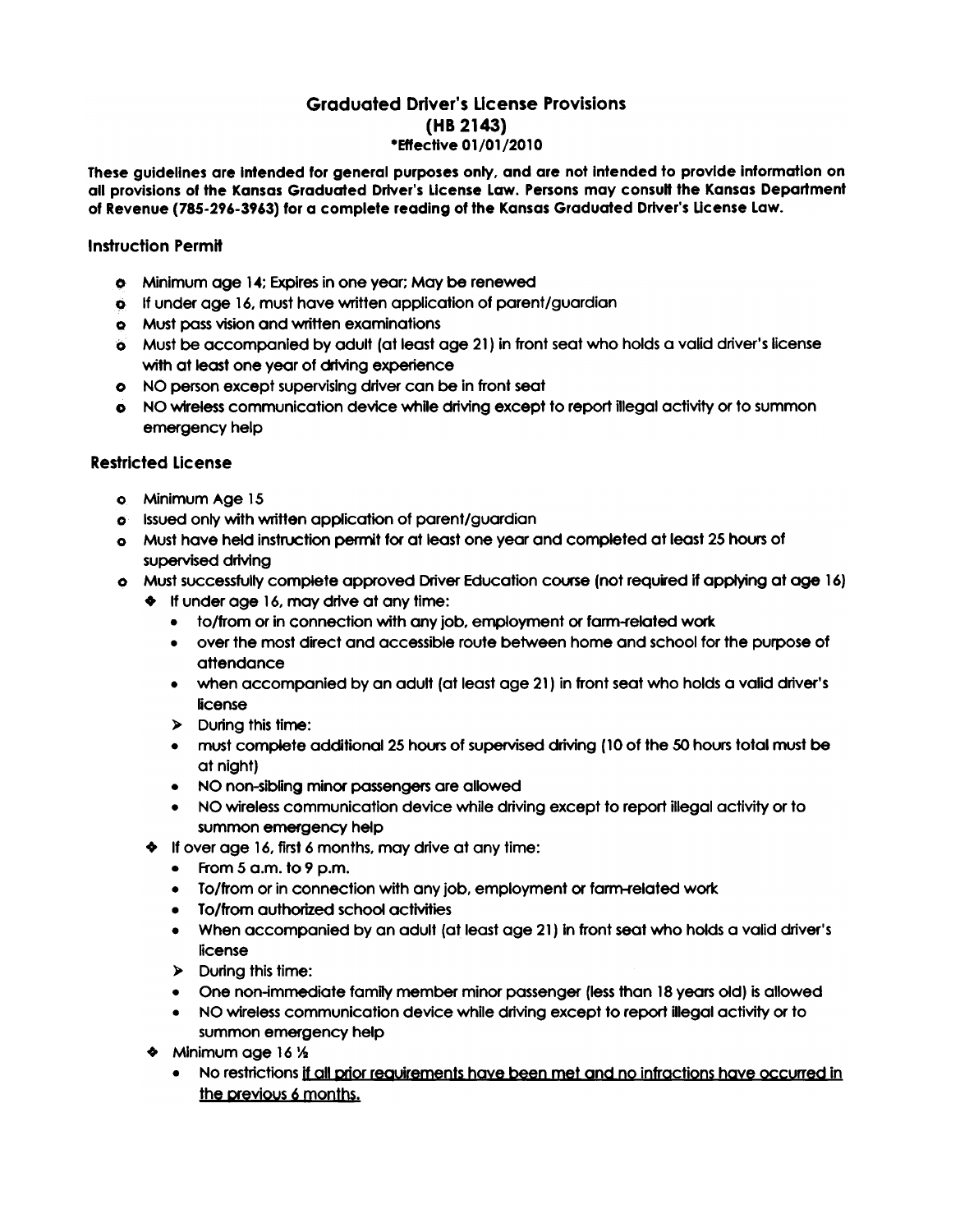# Graduated Driver's LIcense Provisions (HB 2143) \*Eftectlve 01/01/2010

These guidelines are Intended for general purposes only, and are not Intended to provide information on all provisions of the Kansas Graduated Driver's License Law. Persons may consult the Kansas Department of Revenue (785-296-3963) for a complete reading of the Kansas Graduated Driver's License Law.

### Instruction Permit

- 0 Minimum age 14; expires in one year; May be renewed
- 9 If under age 16. must have written application of parent/guardian
- Q Must pass vision and written examinations
- 0 Must be accompanied by adult (at least age 21) in front seat who holds a valid driver's license with at least one year of driving experience
- 0 NO person except supervising driver can be in front seat
- o NO wireless communication device while driving except to report illegal activity or to summon emergency help

#### Restricted License

- 0 Minimum Age 15
- 0 Issued only with written application of parent/guardian
- $\bullet$  Must have held instruction permit for at least one year and completed at least 25 hours of supervised driving
- o Must successfully complete approved Driver Education course (not required if applying at age 16)
	- $\bullet$  If under age 16, may drive at any time:
		- to/from or in connection with any job, employment or farm-related work
		- . over the most direct and accessible route between home and school for the purpose of attendance
		- . when accompanied by an adult (at least age 21) in front seat who holds a valid driver's license
		- )- During this time:
		- . must complete additional 25 hous of supervised driving (10 of the 50 hours total must be at night)
		- . NO non-sibling minor passengers are allowed
		- . NO wireless communication device while driving except to report illegal activity or to summon emergency help
	- $\bullet$  If over age 16, first 6 months, may drive at any time:
		- $\bullet$  From 5 a.m. to 9 p.m.
		- To/from or in connection with any job, employment or farm-related work
		- To/from authorized school activities
		- . When accompanied by an adult (at least age 21) in front seat who holds a valid driver's license
		- )- During this time:
		- . One non-lmmediate family member minor passenger (less than 18 years old) is allowed
		- . NO wireless communication device while driving except to report illegal activity or to summon emergency help
	- $\triangleleft$  Minimum age 16  $\frac{1}{2}$ 
		- . No restrictions if all orior reauirements have been met and no infractions have occurred in the previous 6 months.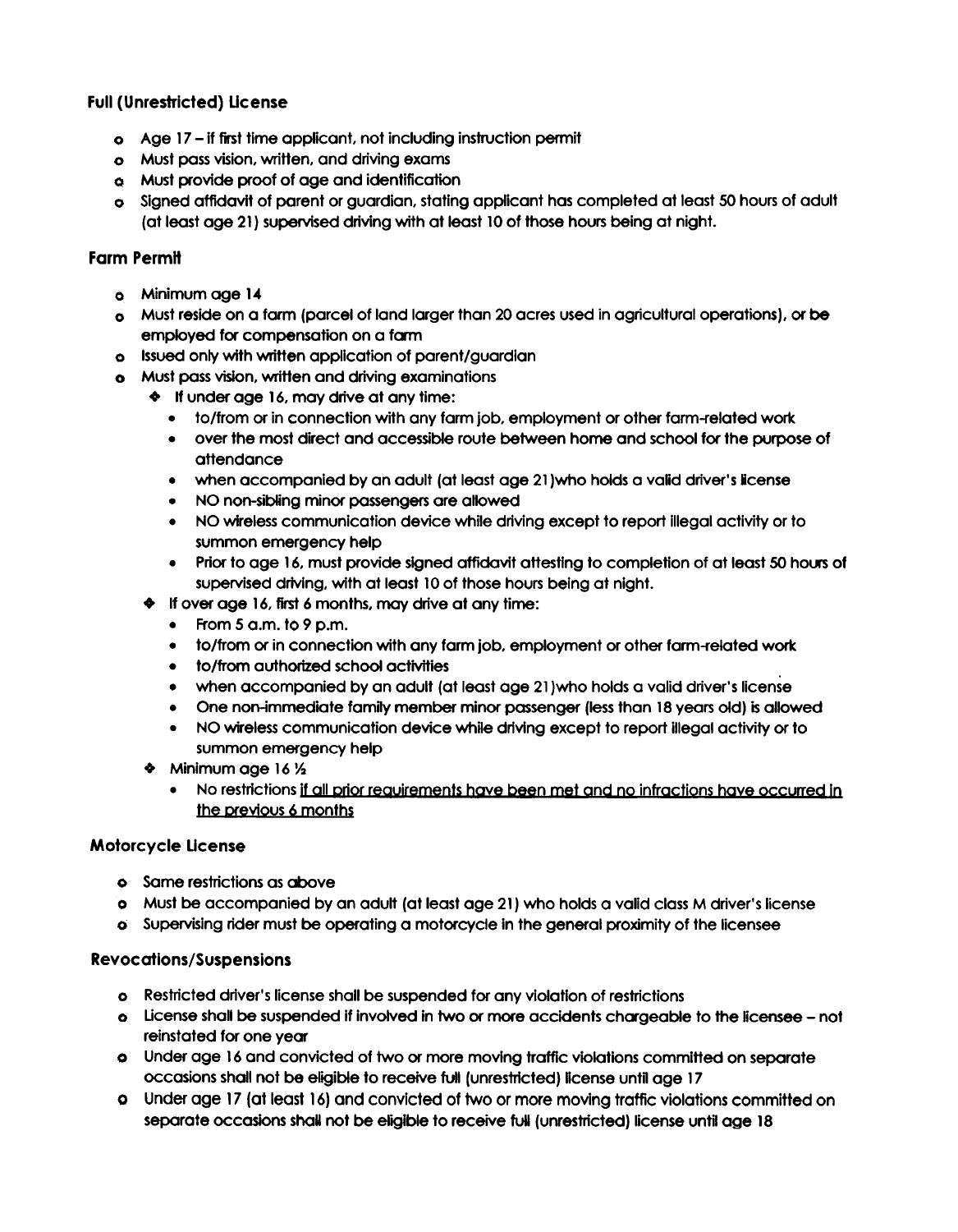# Full (Unrestricted) Ucense

- 0 Age 17 if fist time appHcant, not including instruction permit
- 0 Must pass vision, written, and driving exams
- 0 Must provide proof of age and identification
- $\bullet$  Signed affidavit of parent or guardian, stating applicant has completed at least 50 hours of adult (at least age 21) supervised driving with at least 10 of those hours being at night.

## **Farm Permit**

- 0 Minimum age 14
- 0 Must reside on a farm (parcel of land larger than 20 acres used in agricultural operations), or be employed for compensation on a fam
- c Issued only with written application of parent/guardian
- 0 Must pass vision, written and driving examinations
	- $\bullet$  If under age 16, may drive at any time:
		- . to/from or in connection with any farm job, employment or other farm-related work
		- . over the most direct and accessible route between home and school for the purpose of attendance
		- . when accompanied by an adult (at least age 21 )who holds a valid driver's icense
		- . NO non-sibling minor passengers are allowed
		- . NO wireless communication device while driving except to report illegal activity or to summon emergency help
		- Prior to age 16, must provide signed affidavit attesting to completion of at least 50 hours of supervised driving, with at least 10 of those hours being at night.
	- $\bullet$  If over age 16, first 6 months, may drive at any time:
		- . From 5 a.m. to 9 p.m.
		- to/from or in connection with any farm job, employment or other farm-related work<br>• to/from authorized school activities
		-
		- to/from authorized school activities<br>• when accompanied by an adult (at least age 21)who holds a valid driver's license
		- . One non-immediate family member minor passenger (less than 18 years old) is allowed
		- . NO wireless communication device while driving except to report illegal activity or to summon emergency help
	- $\bullet$  Minimum age 16  $\frac{1}{2}$ 
		- . No restrictions if all crior reauirements have been met and no infractions have occurred In the previous 6 months

## Motorcycle Ucense

- **o** Same restrictions as above
- 0 Must be accompanied by an adult (at least age 21) who holds a valid class M driver's license
- 0 Supervising rider must be operating a motorcycle In the general proximity of the licensee

## Rev oc atlons/Suspensions

- 0 Restricted driver's license shall be suspended for any violation of restrictions
- 0 Ucense shall be suspended if involved In two or more accidents chageable to the licensee not reinstated for one year
- 0 Under age 16 and convicted of two or more moving traffic violations committed on separate occasions shall not be eligible to receive full (unrestricted) license until age 17
- Under age 17 (at least 16) and convicted of two or more moving traffic violations committed on 0separate occasions shall not be eligible to receive full (unrestricted) license until age 18